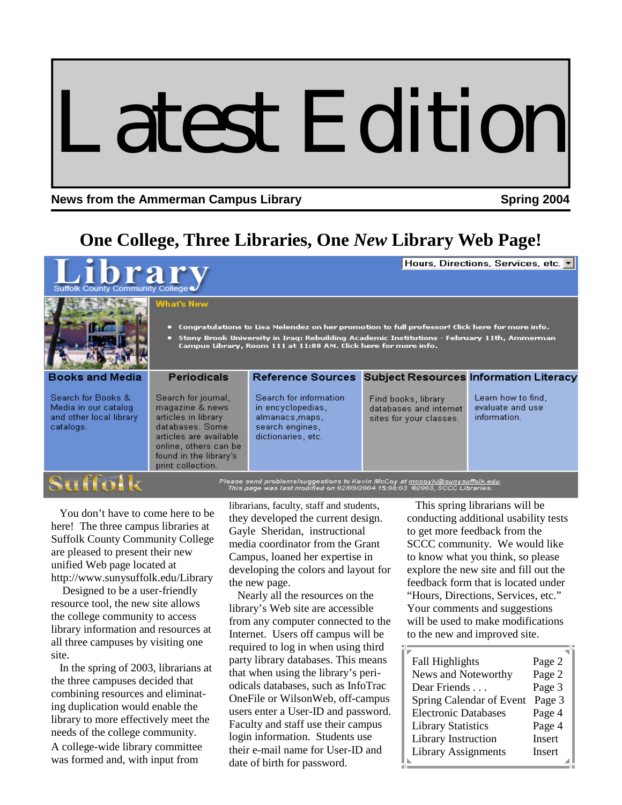# Latest Edition

### **News from the Ammerman Campus Library Spring 2004 Spring 2004**

**Literacy** 

find,

# **One College, Three Libraries, One** *New* **Library Web Page!**

Hours, Directions, Services, etc. v

Bo

Sea

Mei

and cat:

- Congratulations to Lisa Melendez on her promotion to full professor! Click here for more info.
- Stony Brook University in Iraq: Rebuilding Academic Institutions February 11th, Ammerman<br>Campus Library, Room 111 at 11:00 AM. Click here for more info.

| <b>NATIONAL COMPOSITION CONTINUES.</b>                                   |                                                                                                                                                                                    |                                                                                                                                                          |                                                                          |                                                       |
|--------------------------------------------------------------------------|------------------------------------------------------------------------------------------------------------------------------------------------------------------------------------|----------------------------------------------------------------------------------------------------------------------------------------------------------|--------------------------------------------------------------------------|-------------------------------------------------------|
| oks and Media                                                            | <b>Periodicals</b>                                                                                                                                                                 | Reference Sources Subject Resources Information Li                                                                                                       |                                                                          |                                                       |
| rch for Books &<br>lia in our catalog .<br>other local library<br>alogs. | Search for journal,<br>magazine & news<br>articles in library<br>databases, Some<br>articles are available<br>online, others can be<br>found in the library's<br>print collection. | Search for information<br>in encyclopedias.<br>almanacs, maps,<br>search engines.<br>dictionaries, etc.                                                  | Find books, library<br>databases and internet<br>sites for your classes. | Learn how to find<br>evaluate and use<br>information. |
|                                                                          |                                                                                                                                                                                    | Please send problems/suggestions to Kevin McCoy at mccoyki@sunysuffolk.edu.<br>This page was last modified on 02/09/2004 15:08:03 @2003, SCCC Libraries. |                                                                          |                                                       |

 You don't have to come here to be here! The three campus libraries at Suffolk County Community College are pleased to present their new unified Web page located at http://www.sunysuffolk.edu/Library

 Designed to be a user-friendly resource tool, the new site allows the college community to access library information and resources at all three campuses by visiting one site.

 In the spring of 2003, librarians at the three campuses decided that combining resources and eliminating duplication would enable the library to more effectively meet the needs of the college community. A college-wide library committee was formed and, with input from

librarians, faculty, staff and students, they developed the current design. Gayle Sheridan, instructional media coordinator from the Grant Campus, loaned her expertise in developing the colors and layout for the new page.

 Nearly all the resources on the library's Web site are accessible from any computer connected to the Internet. Users off campus will be required to log in when using third party library databases. This means that when using the library's periodicals databases, such as InfoTrac OneFile or WilsonWeb, off-campus users enter a User-ID and password. Faculty and staff use their campus login information. Students use their e-mail name for User-ID and date of birth for password.

 This spring librarians will be conducting additional usability tests to get more feedback from the SCCC community. We would like to know what you think, so please explore the new site and fill out the feedback form that is located under "Hours, Directions, Services, etc." Your comments and suggestions will be used to make modifications to the new and improved site.

| <b>Fall Highlights</b>      | Page 2 |
|-----------------------------|--------|
| News and Noteworthy         | Page 2 |
| Dear Friends                | Page 3 |
| Spring Calendar of Event    | Page 3 |
| <b>Electronic Databases</b> | Page 4 |
| <b>Library Statistics</b>   | Page 4 |
| Library Instruction         | Insert |
| <b>Library Assignments</b>  | Insert |
|                             |        |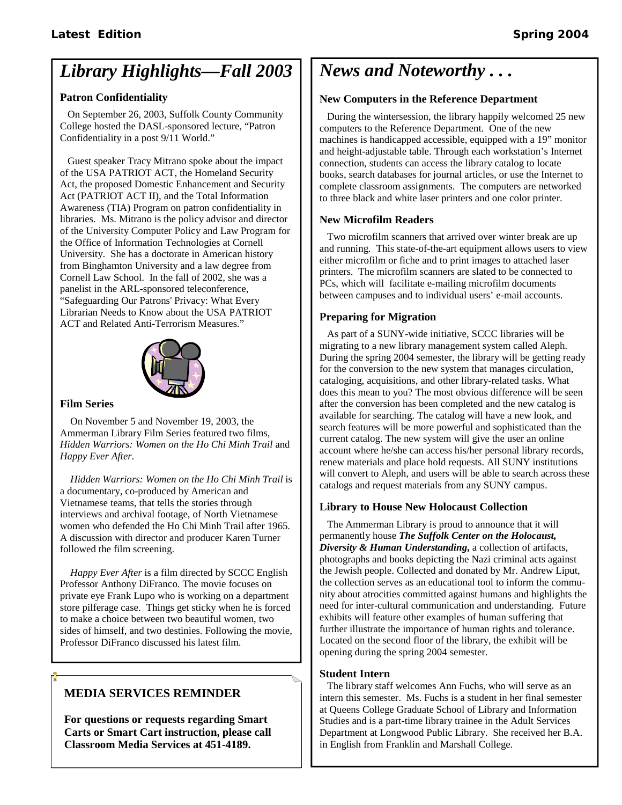# *Library Highlights—Fall 2003*

### **Patron Confidentiality**

 On September 26, 2003, Suffolk County Community College hosted the DASL-sponsored lecture, "Patron Confidentiality in a post 9/11 World."

 Guest speaker Tracy Mitrano spoke about the impact of the USA PATRIOT ACT, the Homeland Security Act, the proposed Domestic Enhancement and Security Act (PATRIOT ACT II), and the Total Information Awareness (TIA) Program on patron confidentiality in libraries. Ms. Mitrano is the policy advisor and director of the University Computer Policy and Law Program for the Office of Information Technologies at Cornell University. She has a doctorate in American history from Binghamton University and a law degree from Cornell Law School. In the fall of 2002, she was a panelist in the ARL-sponsored teleconference, "Safeguarding Our Patrons' Privacy: What Every Librarian Needs to Know about the USA PATRIOT ACT and Related Anti-Terrorism Measures."



### **Film Series**

 On November 5 and November 19, 2003, the Ammerman Library Film Series featured two films, *Hidden Warriors: Women on the Ho Chi Minh Trail* and *Happy Ever After*.

 *Hidden Warriors: Women on the Ho Chi Minh Trail* is a documentary, co-produced by American and Vietnamese teams, that tells the stories through interviews and archival footage, of North Vietnamese women who defended the Ho Chi Minh Trail after 1965. A discussion with director and producer Karen Turner followed the film screening.

 *Happy Ever After* is a film directed by SCCC English Professor Anthony DiFranco. The movie focuses on private eye Frank Lupo who is working on a department store pilferage case. Things get sticky when he is forced to make a choice between two beautiful women, two sides of himself, and two destinies. Following the movie, Professor DiFranco discussed his latest film.

### **MEDIA SERVICES REMINDER**

**For questions or requests regarding Smart Carts or Smart Cart instruction, please call Classroom Media Services at 451-4189.**

# *News and Noteworthy . . .*

### **New Computers in the Reference Department**

 During the wintersession, the library happily welcomed 25 new computers to the Reference Department. One of the new machines is handicapped accessible, equipped with a 19" monitor and height-adjustable table. Through each workstation's Internet connection, students can access the library catalog to locate books, search databases for journal articles, or use the Internet to complete classroom assignments. The computers are networked to three black and white laser printers and one color printer.

### **New Microfilm Readers**

 Two microfilm scanners that arrived over winter break are up and running. This state-of-the-art equipment allows users to view either microfilm or fiche and to print images to attached laser printers. The microfilm scanners are slated to be connected to PCs, which will facilitate e-mailing microfilm documents between campuses and to individual users' e-mail accounts.

### **Preparing for Migration**

 As part of a SUNY-wide initiative, SCCC libraries will be migrating to a new library management system called Aleph. During the spring 2004 semester, the library will be getting ready for the conversion to the new system that manages circulation, cataloging, acquisitions, and other library-related tasks. What does this mean to you? The most obvious difference will be seen after the conversion has been completed and the new catalog is available for searching. The catalog will have a new look, and search features will be more powerful and sophisticated than the current catalog. The new system will give the user an online account where he/she can access his/her personal library records, renew materials and place hold requests. All SUNY institutions will convert to Aleph, and users will be able to search across these catalogs and request materials from any SUNY campus.

### **Library to House New Holocaust Collection**

 The Ammerman Library is proud to announce that it will permanently house *The Suffolk Center on the Holocaust, Diversity & Human Understanding***,** a collection of artifacts, photographs and books depicting the Nazi criminal acts against the Jewish people. Collected and donated by Mr. Andrew Liput, the collection serves as an educational tool to inform the community about atrocities committed against humans and highlights the need for inter-cultural communication and understanding. Future exhibits will feature other examples of human suffering that further illustrate the importance of human rights and tolerance. Located on the second floor of the library, the exhibit will be opening during the spring 2004 semester.

### **Student Intern**

 The library staff welcomes Ann Fuchs, who will serve as an intern this semester. Ms. Fuchs is a student in her final semester at Queens College Graduate School of Library and Information Studies and is a part-time library trainee in the Adult Services Department at Longwood Public Library. She received her B.A. in English from Franklin and Marshall College.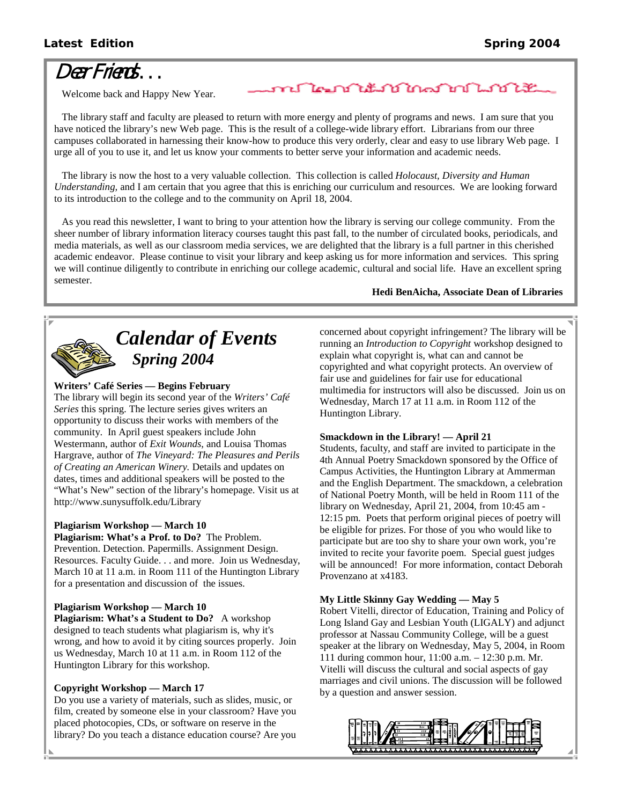# Dear Friends . . .

Welcome back and Happy New Year.

 The library staff and faculty are pleased to return with more energy and plenty of programs and news. I am sure that you have noticed the library's new Web page. This is the result of a college-wide library effort. Librarians from our three campuses collaborated in harnessing their know-how to produce this very orderly, clear and easy to use library Web page. I urge all of you to use it, and let us know your comments to better serve your information and academic needs.

nſ

 The library is now the host to a very valuable collection. This collection is called *Holocaust, Diversity and Human Understanding,* and I am certain that you agree that this is enriching our curriculum and resources. We are looking forward to its introduction to the college and to the community on April 18, 2004.

 As you read this newsletter, I want to bring to your attention how the library is serving our college community. From the sheer number of library information literacy courses taught this past fall, to the number of circulated books, periodicals, and media materials, as well as our classroom media services, we are delighted that the library is a full partner in this cherished academic endeavor. Please continue to visit your library and keep asking us for more information and services. This spring we will continue diligently to contribute in enriching our college academic, cultural and social life. Have an excellent spring semester.

### **Hedi BenAicha, Associate Dean of Libraries**



# *Calendar of Events Spring 2004*

### **Writers' Café Series — Begins February**

The library will begin its second year of the *Writers' Café Series* this spring. The lecture series gives writers an opportunity to discuss their works with members of the community. In April guest speakers include John Westermann, author of *Exit Wounds*, and Louisa Thomas Hargrave, author of *The Vineyard: The Pleasures and Perils of Creating an American Winery.* Details and updates on dates, times and additional speakers will be posted to the "What's New" section of the library's homepage. Visit us at http://www.sunysuffolk.edu/Library

### **Plagiarism Workshop — March 10**

**Plagiarism: What's a Prof. to Do?** The Problem. Prevention. Detection. Papermills. Assignment Design. Resources. Faculty Guide. . . and more. Join us Wednesday, March 10 at 11 a.m. in Room 111 of the Huntington Library for a presentation and discussion of the issues.

### **Plagiarism Workshop — March 10**

**Plagiarism: What's a Student to Do?** A workshop designed to teach students what plagiarism is, why it's wrong, and how to avoid it by citing sources properly. Join us Wednesday, March 10 at 11 a.m. in Room 112 of the Huntington Library for this workshop.

### **Copyright Workshop — March 17**

Do you use a variety of materials, such as slides, music, or film, created by someone else in your classroom? Have you placed photocopies, CDs, or software on reserve in the library? Do you teach a distance education course? Are you

concerned about copyright infringement? The library will be running an *Introduction to Copyright* workshop designed to explain what copyright is, what can and cannot be copyrighted and what copyright protects. An overview of fair use and guidelines for fair use for educational multimedia for instructors will also be discussed. Join us on Wednesday, March 17 at 11 a.m. in Room 112 of the Huntington Library.

### **Smackdown in the Library! — April 21**

ไคมบำใช้มาบำใกลมำเป็นมาบำ

Students, faculty, and staff are invited to participate in the 4th Annual Poetry Smackdown sponsored by the Office of Campus Activities, the Huntington Library at Ammerman and the English Department. The smackdown, a celebration of National Poetry Month, will be held in Room 111 of the library on Wednesday, April 21, 2004, from 10:45 am - 12:15 pm. Poets that perform original pieces of poetry will be eligible for prizes. For those of you who would like to participate but are too shy to share your own work, you're invited to recite your favorite poem. Special guest judges will be announced! For more information, contact Deborah Provenzano at x4183.

### **My Little Skinny Gay Wedding — May 5**

Robert Vitelli, director of Education, Training and Policy of Long Island Gay and Lesbian Youth (LIGALY) and adjunct professor at Nassau Community College, will be a guest speaker at the library on Wednesday, May 5, 2004, in Room 111 during common hour, 11:00 a.m. – 12:30 p.m. Mr. Vitelli will discuss the cultural and social aspects of gay marriages and civil unions. The discussion will be followed by a question and answer session.

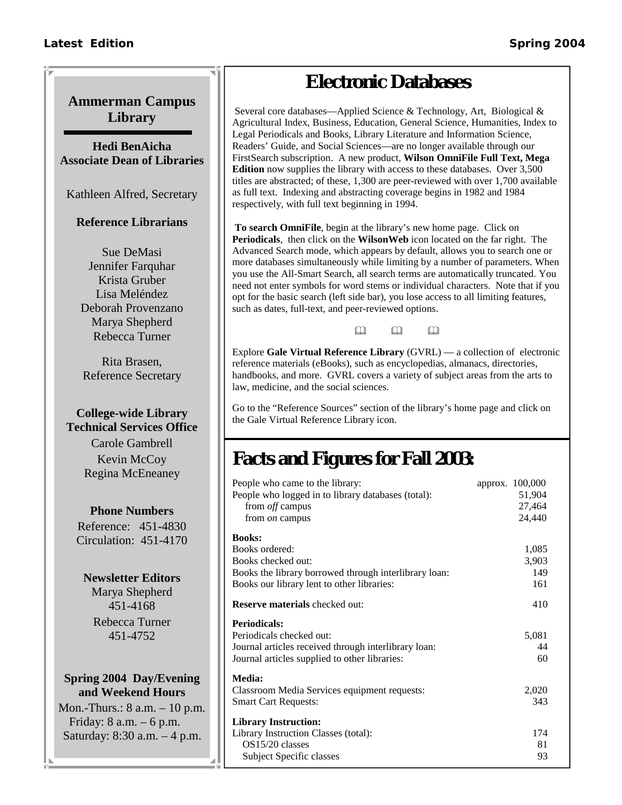## **Ammerman Campus Library**

**Hedi BenAicha Associate Dean of Libraries** 

Kathleen Alfred, Secretary

### **Reference Librarians**

Sue DeMasi Jennifer Farquhar Krista Gruber Lisa Meléndez Deborah Provenzano Marya Shepherd Rebecca Turner

Rita Brasen, Reference Secretary

### **College-wide Library Technical Services Office**

Carole Gambrell Kevin McCoy Regina McEneaney

### **Phone Numbers**

Reference: 451-4830 Circulation: 451-4170

### **Newsletter Editors**

Marya Shepherd 451-4168 Rebecca Turner 451-4752

### **Spring 2004 Day/Evening and Weekend Hours**

Mon.-Thurs.: 8 a.m. – 10 p.m. Friday: 8 a.m. – 6 p.m. Saturday: 8:30 a.m. – 4 p.m.

# **Electronic Databases**

 Several core databases—Applied Science & Technology, Art, Biological & Agricultural Index, Business, Education, General Science, Humanities, Index to Legal Periodicals and Books, Library Literature and Information Science, Readers' Guide, and Social Sciences—are no longer available through our FirstSearch subscription. A new product, **Wilson OmniFile Full Text, Mega Edition** now supplies the library with access to these databases. Over 3,500 titles are abstracted; of these, 1,300 are peer-reviewed with over 1,700 available as full text. Indexing and abstracting coverage begins in 1982 and 1984 respectively, with full text beginning in 1994.

**To search OmniFile**, begin at the library's new home page. Click on **Periodicals**, then click on the **WilsonWeb** icon located on the far right. The Advanced Search mode, which appears by default, allows you to search one or more databases simultaneously while limiting by a number of parameters. When you use the All-Smart Search, all search terms are automatically truncated. You need not enter symbols for word stems or individual characters. Note that if you opt for the basic search (left side bar), you lose access to all limiting features, such as dates, full-text, and peer-reviewed options.

 $\mathbf{m}$   $\mathbf{m}$   $\mathbf{m}$ 

Explore **Gale Virtual Reference Library** (GVRL) — a collection of electronic reference materials (eBooks), such as encyclopedias, almanacs, directories, handbooks, and more. GVRL covers a variety of subject areas from the arts to law, medicine, and the social sciences.

Go to the "Reference Sources" section of the library's home page and click on the Gale Virtual Reference Library icon.

# **Facts and Figures for Fall 2003:**

| People who came to the library:                       | approx. 100,000 |
|-------------------------------------------------------|-----------------|
| People who logged in to library databases (total):    | 51,904          |
| from off campus                                       | 27,464          |
| from <i>on</i> campus                                 | 24,440          |
| <b>Books:</b>                                         |                 |
| Books ordered:                                        | 1,085           |
| Books checked out:                                    | 3,903           |
| Books the library borrowed through interlibrary loan: | 149             |
| Books our library lent to other libraries:            | 161             |
| <b>Reserve materials checked out:</b>                 | 410             |
| <b>Periodicals:</b>                                   |                 |
| Periodicals checked out:                              | 5,081           |
| Journal articles received through interlibrary loan:  | 44              |
| Journal articles supplied to other libraries:         | 60              |
| Media:                                                |                 |
| Classroom Media Services equipment requests:          | 2,020           |
| <b>Smart Cart Requests:</b>                           | 343             |
| <b>Library Instruction:</b>                           |                 |
| Library Instruction Classes (total):                  | 174             |
| OS15/20 classes                                       | 81              |
| Subject Specific classes                              | 93              |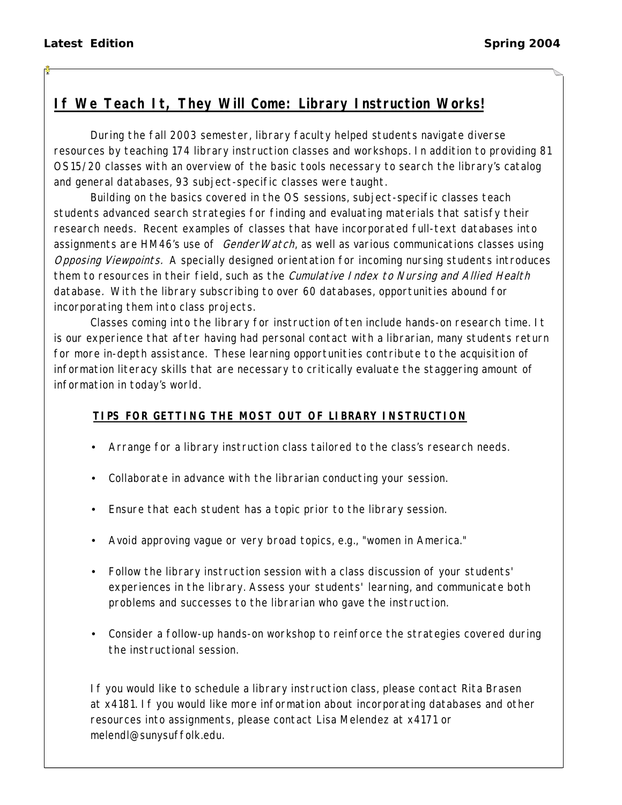# **If We Teach It, They Will Come: Library Instruction Works!**

During the fall 2003 semester, library faculty helped students navigate diverse resources by teaching 174 library instruction classes and workshops. In addition to providing 81 OS15/20 classes with an overview of the basic tools necessary to search the library's catalog and general databases, 93 subject-specific classes were taught.

Building on the basics covered in the OS sessions, subject-specific classes teach students advanced search strategies for finding and evaluating materials that satisfy their research needs. Recent examples of classes that have incorporated full-text databases into assignments are HM46's use of *GenderWatch*, as well as various communications classes using Opposing Viewpoints. A specially designed orientation for incoming nursing students introduces them to resources in their field, such as the *Cumulative Index to Nursing and Allied Health* database. With the library subscribing to over 60 databases, opportunities abound for incorporating them into class projects.

Classes coming into the library for instruction often include hands-on research time. It is our experience that after having had personal contact with a librarian, many students return for more in-depth assistance. These learning opportunities contribute to the acquisition of information literacy skills that are necessary to critically evaluate the staggering amount of information in today's world.

### **TIPS FOR GETTING THE MOST OUT OF LIBRARY INSTRUCTION**

- Arrange for a library instruction class tailored to the class's research needs.
- Collaborate in advance with the librarian conducting your session.
- Ensure that each student has a topic prior to the library session.
- Avoid approving vague or very broad topics, e.g., "women in America."
- Follow the library instruction session with a class discussion of your students' experiences in the library. Assess your students' learning, and communicate both problems and successes to the librarian who gave the instruction.
- Consider a follow-up hands-on workshop to reinforce the strategies covered during the instructional session.

If you would like to schedule a library instruction class, please contact Rita Brasen at x4181. If you would like more information about incorporating databases and other resources into assignments, please contact Lisa Melendez at x4171 or melendl@sunysuffolk.edu.